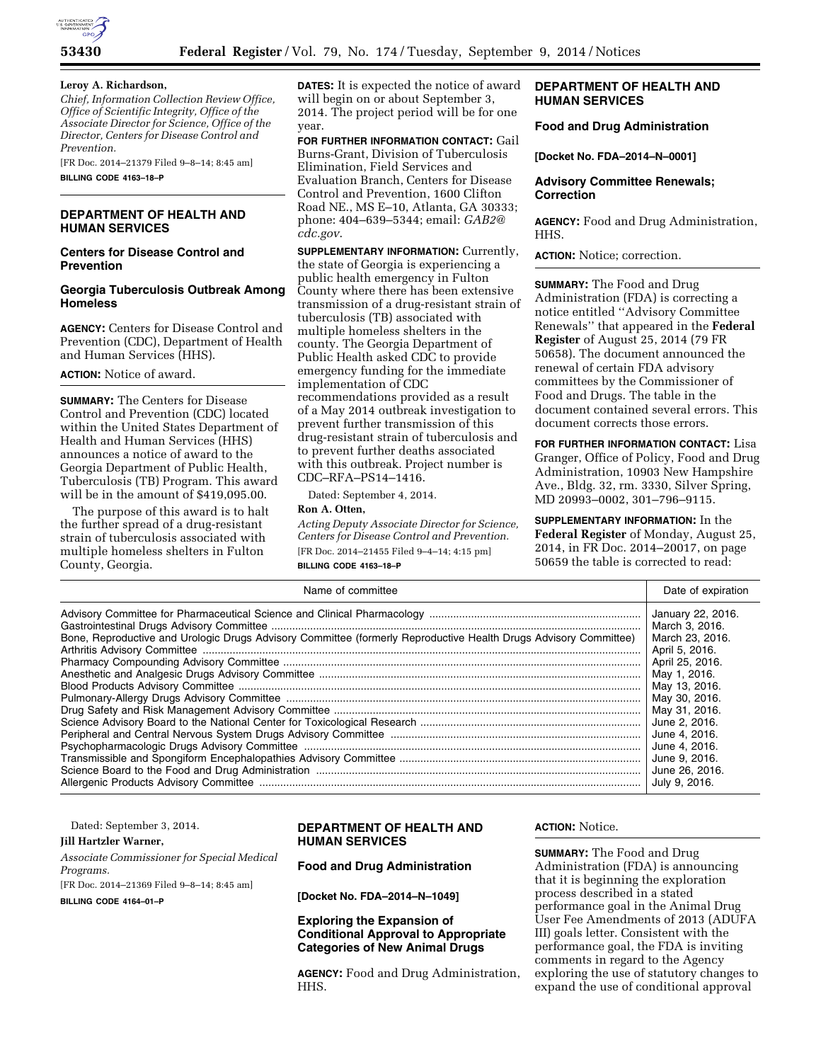

#### **Leroy A. Richardson,**

*Chief, Information Collection Review Office, Office of Scientific Integrity, Office of the Associate Director for Science, Office of the Director, Centers for Disease Control and Prevention.* 

[FR Doc. 2014–21379 Filed 9–8–14; 8:45 am] **BILLING CODE 4163–18–P** 

## **DEPARTMENT OF HEALTH AND HUMAN SERVICES**

## **Centers for Disease Control and Prevention**

## **Georgia Tuberculosis Outbreak Among Homeless**

**AGENCY:** Centers for Disease Control and Prevention (CDC), Department of Health and Human Services (HHS).

# **ACTION:** Notice of award.

**SUMMARY:** The Centers for Disease Control and Prevention (CDC) located within the United States Department of Health and Human Services (HHS) announces a notice of award to the Georgia Department of Public Health, Tuberculosis (TB) Program. This award will be in the amount of \$419,095.00.

The purpose of this award is to halt the further spread of a drug-resistant strain of tuberculosis associated with multiple homeless shelters in Fulton County, Georgia.

**DATES:** It is expected the notice of award will begin on or about September 3, 2014. The project period will be for one year.

**FOR FURTHER INFORMATION CONTACT:** Gail Burns-Grant, Division of Tuberculosis Elimination, Field Services and Evaluation Branch, Centers for Disease Control and Prevention, 1600 Clifton Road NE., MS E–10, Atlanta, GA 30333; phone: 404–639–5344; email: *[GAB2@](mailto:GAB2@cdc.gov) [cdc.gov](mailto:GAB2@cdc.gov)*.

**SUPPLEMENTARY INFORMATION:** Currently, the state of Georgia is experiencing a public health emergency in Fulton County where there has been extensive transmission of a drug-resistant strain of tuberculosis (TB) associated with multiple homeless shelters in the county. The Georgia Department of Public Health asked CDC to provide emergency funding for the immediate implementation of CDC recommendations provided as a result of a May 2014 outbreak investigation to prevent further transmission of this drug-resistant strain of tuberculosis and to prevent further deaths associated with this outbreak. Project number is CDC–RFA–PS14–1416.

Dated: September 4, 2014.

# **Ron A. Otten,**

*Acting Deputy Associate Director for Science, Centers for Disease Control and Prevention.*  [FR Doc. 2014–21455 Filed 9–4–14; 4:15 pm] **BILLING CODE 4163–18–P** 

# **DEPARTMENT OF HEALTH AND HUMAN SERVICES**

#### **Food and Drug Administration**

**[Docket No. FDA–2014–N–0001]** 

## **Advisory Committee Renewals; Correction**

**AGENCY:** Food and Drug Administration, HHS.

**ACTION:** Notice; correction.

**SUMMARY:** The Food and Drug Administration (FDA) is correcting a notice entitled ''Advisory Committee Renewals'' that appeared in the **Federal Register** of August 25, 2014 (79 FR 50658). The document announced the renewal of certain FDA advisory committees by the Commissioner of Food and Drugs. The table in the document contained several errors. This document corrects those errors.

**FOR FURTHER INFORMATION CONTACT:** Lisa Granger, Office of Policy, Food and Drug Administration, 10903 New Hampshire Ave., Bldg. 32, rm. 3330, Silver Spring, MD 20993–0002, 301–796–9115.

**SUPPLEMENTARY INFORMATION:** In the **Federal Register** of Monday, August 25, 2014, in FR Doc. 2014–20017, on page 50659 the table is corrected to read:

| Name of committee                                                                                                | Date of expiration                                                                                                                                                                                                                                                    |
|------------------------------------------------------------------------------------------------------------------|-----------------------------------------------------------------------------------------------------------------------------------------------------------------------------------------------------------------------------------------------------------------------|
| Bone, Reproductive and Urologic Drugs Advisory Committee (formerly Reproductive Health Drugs Advisory Committee) | January 22, 2016.<br>March 3, 2016.<br>March 23, 2016.<br>April 5, 2016.<br>April 25, 2016.<br>May 1, 2016.<br>May 13, 2016.<br>May 30, 2016.<br>May 31, 2016.<br>June 2, 2016.<br>June 4, 2016.<br>June 4, 2016.<br>June 9, 2016.<br>June 26, 2016.<br>July 9, 2016. |
|                                                                                                                  |                                                                                                                                                                                                                                                                       |

Dated: September 3, 2014.

**Jill Hartzler Warner,** 

*Associate Commissioner for Special Medical Programs.*  [FR Doc. 2014–21369 Filed 9–8–14; 8:45 am] **BILLING CODE 4164–01–P** 

# **DEPARTMENT OF HEALTH AND HUMAN SERVICES**

#### **Food and Drug Administration**

**[Docket No. FDA–2014–N–1049]** 

**Exploring the Expansion of Conditional Approval to Appropriate Categories of New Animal Drugs** 

**AGENCY:** Food and Drug Administration, HHS.

#### **ACTION:** Notice.

**SUMMARY:** The Food and Drug Administration (FDA) is announcing that it is beginning the exploration process described in a stated performance goal in the Animal Drug User Fee Amendments of 2013 (ADUFA III) goals letter. Consistent with the performance goal, the FDA is inviting comments in regard to the Agency exploring the use of statutory changes to expand the use of conditional approval